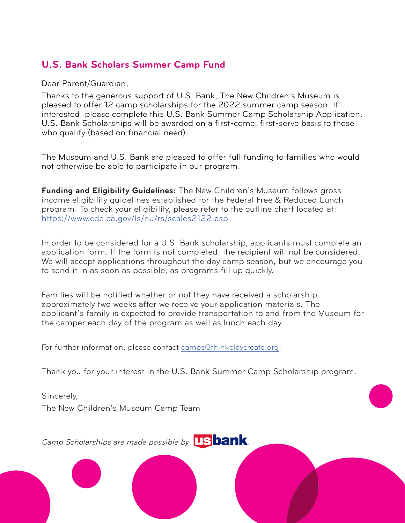## **U.S. Bank Scholars Summer Camp Fund**

Dear Parent/Guardian,

Thanks to the generous support of U.S. Bank, The New Children's Museum is pleased to offer 12 camp scholarships for the 2022 summer camp season. If interested, please complete this U.S. Bank Summer Camp Scholarship Application. U.S. Bank Scholarships will be awarded on a first-come, first-serve basis to those who qualify (based on financial need).

The Museum and U.S. Bank are pleased to offer full funding to families who would not otherwise be able to participate in our program.

**Funding and Eligibility Guidelines:** The New Children's Museum follows gross income eligibility guidelines established for the Federal Free & Reduced Lunch program. To check your eligibility, please refer to the outline chart located at: <https://www.cde.ca.gov/ls/nu/rs/scales2122.asp>

In order to be considered for a U.S. Bank scholarship, applicants must complete an application form. If the form is not completed, the recipient will not be considered. We will accept applications throughout the day camp season, but we encourage you to send it in as soon as possible, as programs fill up quickly.

Families will be notified whether or not they have received a scholarship approximately two weeks after we receive your application materials. The applicant's family is expected to provide transportation to and from the Museum for the camper each day of the program as well as lunch each day.

For further information, please contact [camps@thinkplaycreate.org.](mailto:camps%40thinkplaycreate.org?subject=)

Thank you for your interest in the U.S. Bank Summer Camp Scholarship program.

Sincerely, The New Children's Museum Camp Team

Camp Scholarships are made possible by **US bank**.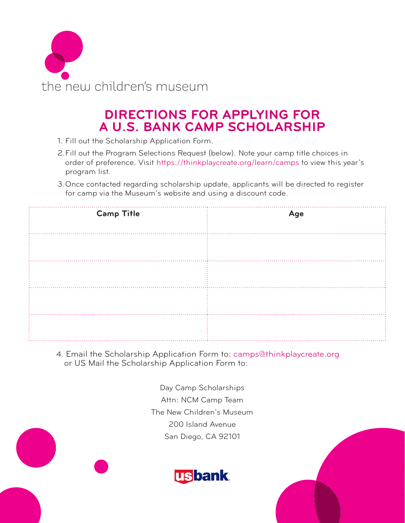

## **DIRECTIONS FOR APPLYING FOR A U.S. BANK CAMP SCHOLARSHIP**

- 1. Fill out the Scholarship Application Form.
- 2.Fill out the Program Selections Request (below). Note your camp title choices in order of preference. Visit https://thinkplaycreate.org/learn/camps to view this year's program list.
- 3.Once contacted regarding scholarship update, applicants will be directed to register for camp via the Museum's website and using a discount code.

| <b>Camp Title</b> | Age |
|-------------------|-----|
|                   |     |
|                   |     |
|                   |     |
|                   |     |

4. Email the Scholarship Application Form to: camps@thinkplaycreate.org or US Mail the Scholarship Application Form to:

> Day Camp Scholarships Attn: NCM Camp Team The New Children's Museum 200 Island Avenue San Diego, CA 92101

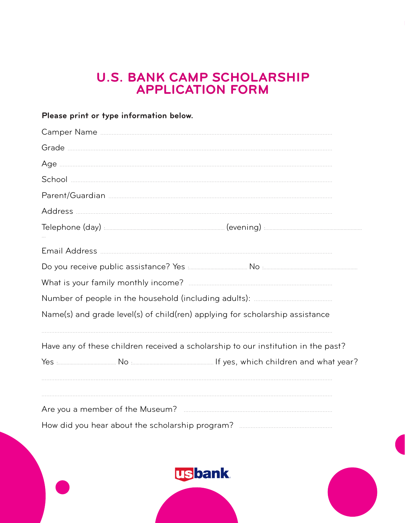## **U.S. BANK CAMP SCHOLARSHIP<br>APPLICATION FORM**

| Please print or type information below.                                                                     |  |  |
|-------------------------------------------------------------------------------------------------------------|--|--|
|                                                                                                             |  |  |
|                                                                                                             |  |  |
|                                                                                                             |  |  |
|                                                                                                             |  |  |
|                                                                                                             |  |  |
|                                                                                                             |  |  |
|                                                                                                             |  |  |
|                                                                                                             |  |  |
| Do you receive public assistance? Yes <b>Election Communication</b> No Election Communication Communication |  |  |
|                                                                                                             |  |  |
|                                                                                                             |  |  |
| Name(s) and grade level(s) of child(ren) applying for scholarship assistance                                |  |  |
| Have any of these children received a scholarship to our institution in the past?                           |  |  |
|                                                                                                             |  |  |
|                                                                                                             |  |  |
|                                                                                                             |  |  |
|                                                                                                             |  |  |